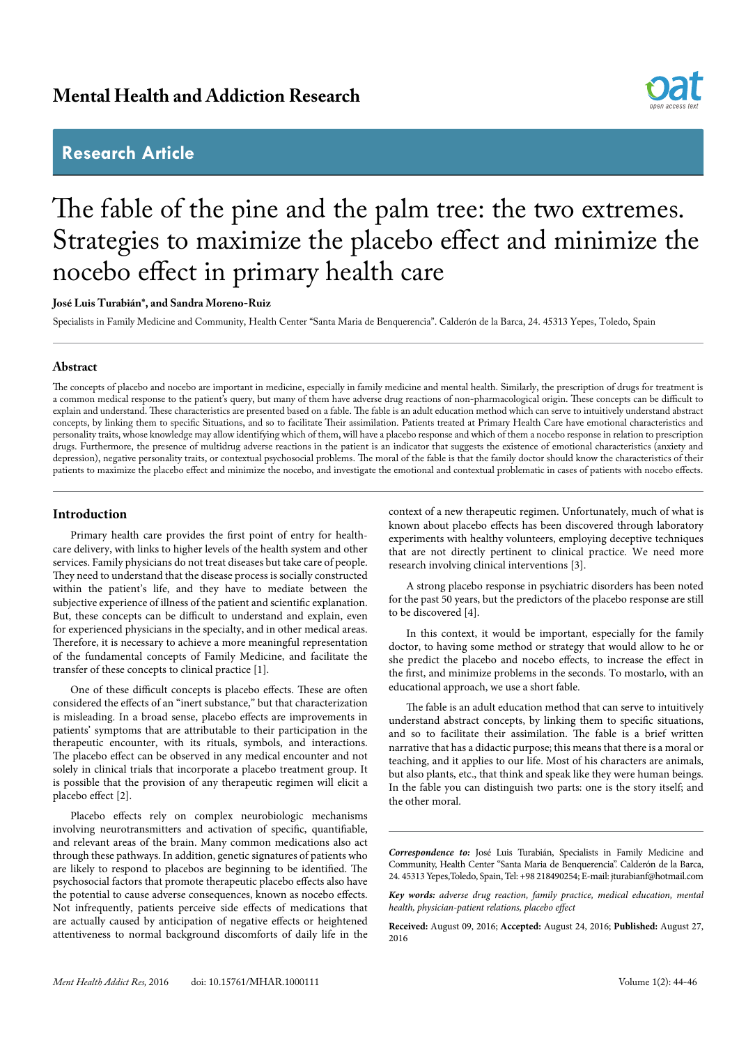## **Mental Health and Addiction Research**

## **Research Article**



# The fable of the pine and the palm tree: the two extremes. Strategies to maximize the placebo effect and minimize the nocebo effect in primary health care

#### **José Luis Turabián\*, and Sandra Moreno-Ruiz**

Specialists in Family Medicine and Community, Health Center "Santa Maria de Benquerencia". Calderón de la Barca, 24. 45313 Yepes, Toledo, Spain

### **Abstract**

The concepts of placebo and nocebo are important in medicine, especially in family medicine and mental health. Similarly, the prescription of drugs for treatment is a common medical response to the patient's query, but many of them have adverse drug reactions of non-pharmacological origin. These concepts can be difficult to explain and understand. These characteristics are presented based on a fable. The fable is an adult education method which can serve to intuitively understand abstract concepts, by linking them to specific Situations, and so to facilitate Their assimilation. Patients treated at Primary Health Care have emotional characteristics and personality traits, whose knowledge may allow identifying which of them, will have a placebo response and which of them a nocebo response in relation to prescription drugs. Furthermore, the presence of multidrug adverse reactions in the patient is an indicator that suggests the existence of emotional characteristics (anxiety and depression), negative personality traits, or contextual psychosocial problems. The moral of the fable is that the family doctor should know the characteristics of their patients to maximize the placebo effect and minimize the nocebo, and investigate the emotional and contextual problematic in cases of patients with nocebo effects.

### **Introduction**

Primary health care provides the first point of entry for healthcare delivery, with links to higher levels of the health system and other services. Family physicians do not treat diseases but take care of people. They need to understand that the disease process is socially constructed within the patient's life, and they have to mediate between the subjective experience of illness of the patient and scientific explanation. But, these concepts can be difficult to understand and explain, even for experienced physicians in the specialty, and in other medical areas. Therefore, it is necessary to achieve a more meaningful representation of the fundamental concepts of Family Medicine, and facilitate the transfer of these concepts to clinical practice [1].

One of these difficult concepts is placebo effects. These are often considered the effects of an "inert substance," but that characterization is misleading. In a broad sense, placebo effects are improvements in patients' symptoms that are attributable to their participation in the therapeutic encounter, with its rituals, symbols, and interactions. The placebo effect can be observed in any medical encounter and not solely in clinical trials that incorporate a placebo treatment group. It is possible that the provision of any therapeutic regimen will elicit a placebo effect [2].

Placebo effects rely on complex neurobiologic mechanisms involving neurotransmitters and activation of specific, quantifiable, and relevant areas of the brain. Many common medications also act through these pathways. In addition, genetic signatures of patients who are likely to respond to placebos are beginning to be identified. The psychosocial factors that promote therapeutic placebo effects also have the potential to cause adverse consequences, known as nocebo effects. Not infrequently, patients perceive side effects of medications that are actually caused by anticipation of negative effects or heightened attentiveness to normal background discomforts of daily life in the

context of a new therapeutic regimen. Unfortunately, much of what is known about placebo effects has been discovered through laboratory experiments with healthy volunteers, employing deceptive techniques that are not directly pertinent to clinical practice. We need more research involving clinical interventions [3].

A strong placebo response in psychiatric disorders has been noted for the past 50 years, but the predictors of the placebo response are still to be discovered [4].

In this context, it would be important, especially for the family doctor, to having some method or strategy that would allow to he or she predict the placebo and nocebo effects, to increase the effect in the first, and minimize problems in the seconds. To mostarlo, with an educational approach, we use a short fable.

The fable is an adult education method that can serve to intuitively understand abstract concepts, by linking them to specific situations, and so to facilitate their assimilation. The fable is a brief written narrative that has a didactic purpose; this means that there is a moral or teaching, and it applies to our life. Most of his characters are animals, but also plants, etc., that think and speak like they were human beings. In the fable you can distinguish two parts: one is the story itself; and the other moral.

*Correspondence to:* José Luis Turabián, Specialists in Family Medicine and Community, Health Center "Santa Maria de Benquerencia". Calderón de la Barca, 24. 45313 Yepes,Toledo, Spain, Tel: +98 218490254; E-mail: jturabianf@hotmail.com

*Key words: adverse drug reaction, family practice, medical education, mental health, physician-patient relations, placebo effect*

**Received:** August 09, 2016; **Accepted:** August 24, 2016; **Published:** August 27, 2016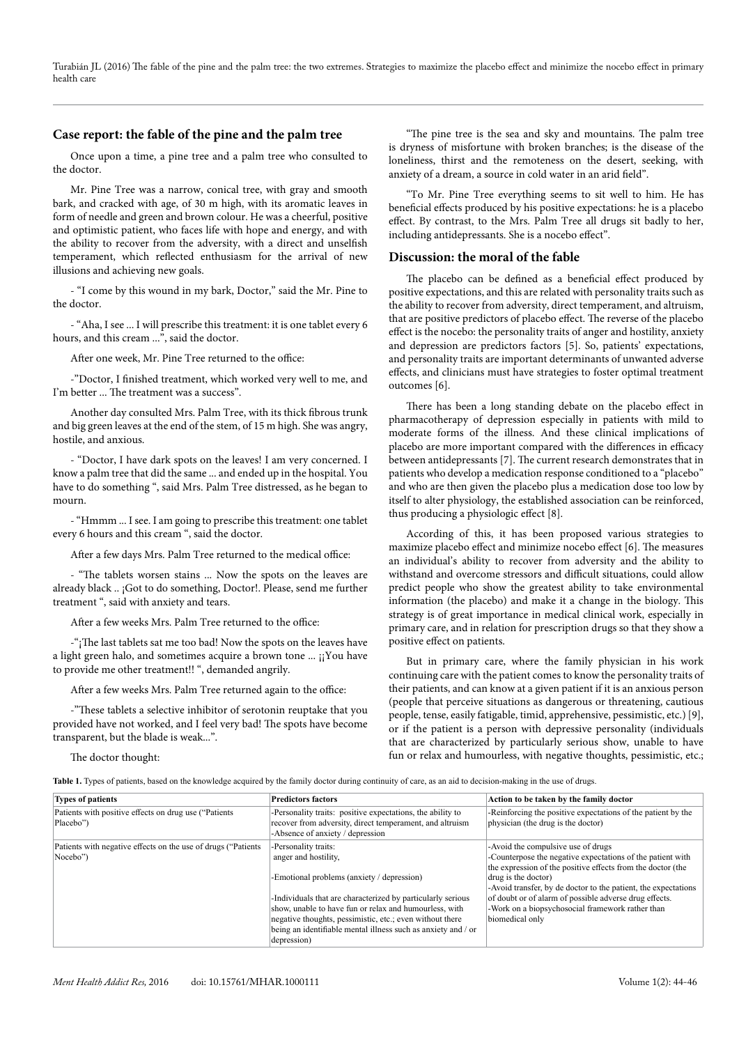Turabián JL (2016) The fable of the pine and the palm tree: the two extremes. Strategies to maximize the placebo effect and minimize the nocebo effect in primary health care

### **Case report: the fable of the pine and the palm tree**

Once upon a time, a pine tree and a palm tree who consulted to the doctor.

Mr. Pine Tree was a narrow, conical tree, with gray and smooth bark, and cracked with age, of 30 m high, with its aromatic leaves in form of needle and green and brown colour. He was a cheerful, positive and optimistic patient, who faces life with hope and energy, and with the ability to recover from the adversity, with a direct and unselfish temperament, which reflected enthusiasm for the arrival of new illusions and achieving new goals.

- "I come by this wound in my bark, Doctor," said the Mr. Pine to the doctor.

- "Aha, I see ... I will prescribe this treatment: it is one tablet every 6 hours, and this cream ...", said the doctor.

After one week, Mr. Pine Tree returned to the office:

-"Doctor, I finished treatment, which worked very well to me, and I'm better ... The treatment was a success".

Another day consulted Mrs. Palm Tree, with its thick fibrous trunk and big green leaves at the end of the stem, of 15 m high. She was angry, hostile, and anxious.

- "Doctor, I have dark spots on the leaves! I am very concerned. I know a palm tree that did the same ... and ended up in the hospital. You have to do something ", said Mrs. Palm Tree distressed, as he began to mourn.

- "Hmmm ... I see. I am going to prescribe this treatment: one tablet every 6 hours and this cream ", said the doctor.

After a few days Mrs. Palm Tree returned to the medical office:

- "The tablets worsen stains ... Now the spots on the leaves are already black .. ¡Got to do something, Doctor!. Please, send me further treatment ", said with anxiety and tears.

After a few weeks Mrs. Palm Tree returned to the office:

-"¡The last tablets sat me too bad! Now the spots on the leaves have a light green halo, and sometimes acquire a brown tone ... ¡¡You have to provide me other treatment!! ", demanded angrily.

After a few weeks Mrs. Palm Tree returned again to the office:

-"These tablets a selective inhibitor of serotonin reuptake that you provided have not worked, and I feel very bad! The spots have become transparent, but the blade is weak...".

The doctor thought:

"The pine tree is the sea and sky and mountains. The palm tree is dryness of misfortune with broken branches; is the disease of the loneliness, thirst and the remoteness on the desert, seeking, with anxiety of a dream, a source in cold water in an arid field".

"To Mr. Pine Tree everything seems to sit well to him. He has beneficial effects produced by his positive expectations: he is a placebo effect. By contrast, to the Mrs. Palm Tree all drugs sit badly to her, including antidepressants. She is a nocebo effect".

#### **Discussion: the moral of the fable**

The placebo can be defined as a beneficial effect produced by positive expectations, and this are related with personality traits such as the ability to recover from adversity, direct temperament, and altruism, that are positive predictors of placebo effect. The reverse of the placebo effect is the nocebo: the personality traits of anger and hostility, anxiety and depression are predictors factors [5]. So, patients' expectations, and personality traits are important determinants of unwanted adverse effects, and clinicians must have strategies to foster optimal treatment outcomes [6].

There has been a long standing debate on the placebo effect in pharmacotherapy of depression especially in patients with mild to moderate forms of the illness. And these clinical implications of placebo are more important compared with the differences in efficacy between antidepressants [7]. The current research demonstrates that in patients who develop a medication response conditioned to a "placebo" and who are then given the placebo plus a medication dose too low by itself to alter physiology, the established association can be reinforced, thus producing a physiologic effect [8].

According of this, it has been proposed various strategies to maximize placebo effect and minimize nocebo effect [6]. The measures an individual's ability to recover from adversity and the ability to withstand and overcome stressors and difficult situations, could allow predict people who show the greatest ability to take environmental information (the placebo) and make it a change in the biology. This strategy is of great importance in medical clinical work, especially in primary care, and in relation for prescription drugs so that they show a positive effect on patients.

But in primary care, where the family physician in his work continuing care with the patient comes to know the personality traits of their patients, and can know at a given patient if it is an anxious person (people that perceive situations as dangerous or threatening, cautious people, tense, easily fatigable, timid, apprehensive, pessimistic, etc.) [9], or if the patient is a person with depressive personality (individuals that are characterized by particularly serious show, unable to have fun or relax and humourless, with negative thoughts, pessimistic, etc.;

**Table 1.** Types of patients, based on the knowledge acquired by the family doctor during continuity of care, as an aid to decision-making in the use of drugs.

| <b>Types of patients</b>                                                   | <b>Predictors factors</b>                                                                                                                                                                                                                                                                                                                                       | Action to be taken by the family doctor                                                                                                                                                                                                                                                                                                                                                   |
|----------------------------------------------------------------------------|-----------------------------------------------------------------------------------------------------------------------------------------------------------------------------------------------------------------------------------------------------------------------------------------------------------------------------------------------------------------|-------------------------------------------------------------------------------------------------------------------------------------------------------------------------------------------------------------------------------------------------------------------------------------------------------------------------------------------------------------------------------------------|
| Patients with positive effects on drug use ("Patients"<br>Placebo")        | -Personality traits: positive expectations, the ability to<br>recover from adversity, direct temperament, and altruism<br>-Absence of anxiety / depression                                                                                                                                                                                                      | -Reinforcing the positive expectations of the patient by the<br>physician (the drug is the doctor)                                                                                                                                                                                                                                                                                        |
| Patients with negative effects on the use of drugs ("Patients"<br>Nocebo") | -Personality traits:<br>anger and hostility,<br>-Emotional problems (anxiety / depression)<br>-Individuals that are characterized by particularly serious<br>show, unable to have fun or relax and humourless, with<br>negative thoughts, pessimistic, etc.; even without there<br>being an identifiable mental illness such as anxiety and / or<br>depression) | -Avoid the compulsive use of drugs<br>-Counterpose the negative expectations of the patient with<br>the expression of the positive effects from the doctor (the<br>drug is the doctor)<br>-Avoid transfer, by de doctor to the patient, the expectations<br>of doubt or of alarm of possible adverse drug effects.<br>-Work on a biopsychosocial framework rather than<br>biomedical only |